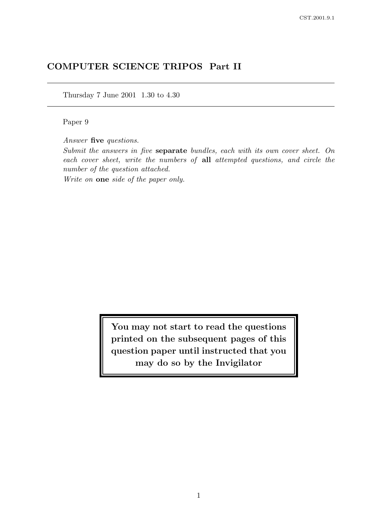# COMPUTER SCIENCE TRIPOS Part II

Thursday 7 June 2001 1.30 to 4.30

Paper 9

Answer five questions.

Submit the answers in five separate bundles, each with its own cover sheet. On each cover sheet, write the numbers of all attempted questions, and circle the number of the question attached.

Write on one side of the paper only.

You may not start to read the questions printed on the subsequent pages of this question paper until instructed that you may do so by the Invigilator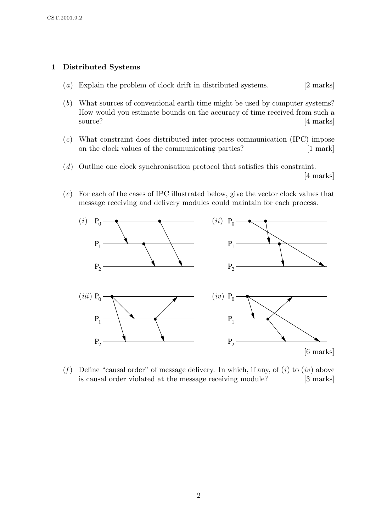## 1 Distributed Systems

- (a) Explain the problem of clock drift in distributed systems. [2 marks]
- (b) What sources of conventional earth time might be used by computer systems? How would you estimate bounds on the accuracy of time received from such a source? [4 marks]
- (c) What constraint does distributed inter-process communication (IPC) impose on the clock values of the communicating parties? [1 mark]
- (d) Outline one clock synchronisation protocol that satisfies this constraint. [4 marks]
- (e) For each of the cases of IPC illustrated below, give the vector clock values that message receiving and delivery modules could maintain for each process.



(f) Define "causal order" of message delivery. In which, if any, of  $(i)$  to  $(iv)$  above is causal order violated at the message receiving module? [3 marks]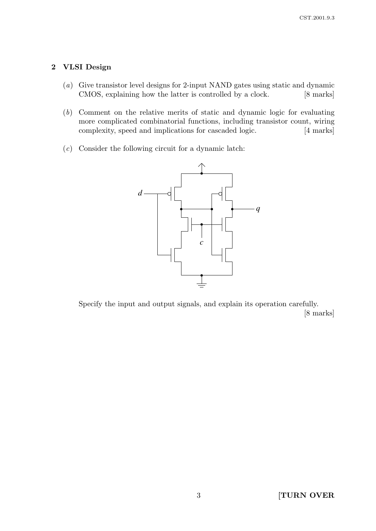### 2 VLSI Design

- (a) Give transistor level designs for 2-input NAND gates using static and dynamic CMOS, explaining how the latter is controlled by a clock. [8 marks]
- (b) Comment on the relative merits of static and dynamic logic for evaluating more complicated combinatorial functions, including transistor count, wiring complexity, speed and implications for cascaded logic. [4 marks]
- $(c)$  Consider the following circuit for a dynamic latch:



Specify the input and output signals, and explain its operation carefully. [8 marks]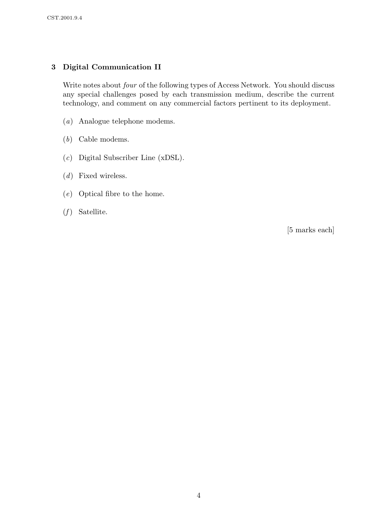# 3 Digital Communication II

Write notes about four of the following types of Access Network. You should discuss any special challenges posed by each transmission medium, describe the current technology, and comment on any commercial factors pertinent to its deployment.

- (a) Analogue telephone modems.
- (b) Cable modems.
- (c) Digital Subscriber Line (xDSL).
- (d) Fixed wireless.
- (e) Optical fibre to the home.
- $(f)$  Satellite.

[5 marks each]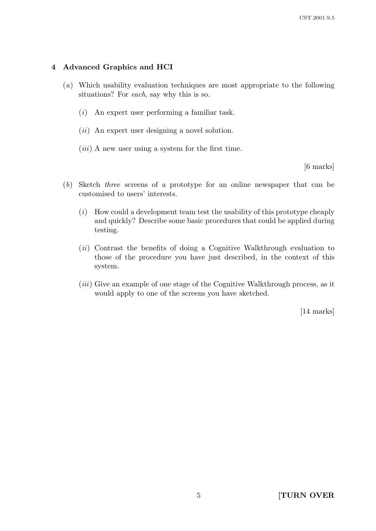### 4 Advanced Graphics and HCI

- (a) Which usability evaluation techniques are most appropriate to the following situations? For each, say why this is so.
	- (i) An expert user performing a familiar task.
	- $(ii)$  An expert user designing a novel solution.
	- $(iii)$  A new user using a system for the first time.

[6 marks]

- (b) Sketch three screens of a prototype for an online newspaper that can be customised to users' interests.
	- $(i)$  How could a development team test the usability of this prototype cheaply and quickly? Describe some basic procedures that could be applied during testing.
	- (ii) Contrast the benefits of doing a Cognitive Walkthrough evaluation to those of the procedure you have just described, in the context of this system.
	- (iii) Give an example of one stage of the Cognitive Walkthrough process, as it would apply to one of the screens you have sketched.

[14 marks]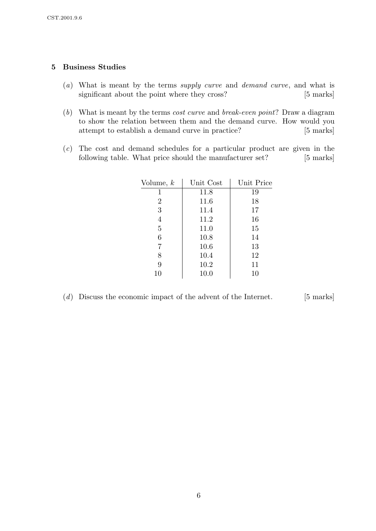### 5 Business Studies

- (a) What is meant by the terms supply curve and demand curve, and what is significant about the point where they cross? [5 marks]
- (b) What is meant by the terms cost curve and break-even point? Draw a diagram to show the relation between them and the demand curve. How would you attempt to establish a demand curve in practice? [5 marks]
- (c) The cost and demand schedules for a particular product are given in the following table. What price should the manufacturer set? [5 marks]

| Volume, $k$    | Unit Cost | Unit Price |
|----------------|-----------|------------|
| 1              | 11.8      | 19         |
| $\overline{2}$ | 11.6      | 18         |
| 3              | 11.4      | 17         |
| $\overline{4}$ | 11.2      | 16         |
| 5              | 11.0      | 15         |
| 6              | 10.8      | 14         |
| 7              | 10.6      | 13         |
| 8              | 10.4      | 12         |
| 9              | 10.2      | 11         |
| 10             | 10.0      | 10         |

 $(d)$  Discuss the economic impact of the advent of the Internet. [5 marks]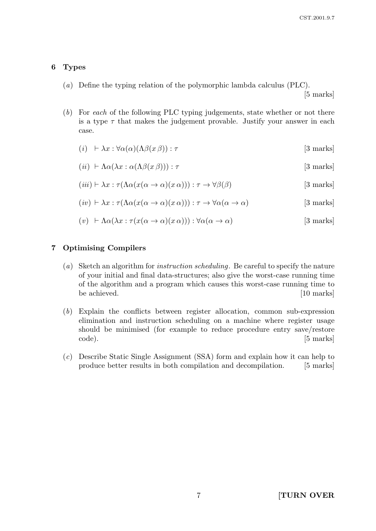### 6 Types

(a) Define the typing relation of the polymorphic lambda calculus (PLC).

[5 marks]

(b) For each of the following PLC typing judgements, state whether or not there is a type  $\tau$  that makes the judgement provable. Justify your answer in each case.

$$
(i) \quad \vdash \lambda x : \forall \alpha(\alpha)(\Lambda \beta(x \beta)) : \tau \tag{3 marks}
$$

$$
(ii) \ \vdash \Lambda \alpha(\lambda x : \alpha(\Lambda \beta(x \beta))) : \tau \tag{3 marks}
$$

$$
(iii) \vdash \lambda x : \tau(\Lambda \alpha(x(\alpha \to \alpha)(x \alpha))) : \tau \to \forall \beta(\beta) \tag{3 marks}
$$

$$
(iv) \vdash \lambda x : \tau(\Lambda \alpha(x(\alpha \to \alpha)(x \alpha))) : \tau \to \forall \alpha(\alpha \to \alpha) \tag{3 marks}
$$

$$
(v) \ \ \vdash \Lambda \alpha(\lambda x : \tau(x(\alpha \to \alpha)(x \alpha))) : \forall \alpha(\alpha \to \alpha) \tag{3 marks}
$$

### 7 Optimising Compilers

- (a) Sketch an algorithm for instruction scheduling. Be careful to specify the nature of your initial and final data-structures; also give the worst-case running time of the algorithm and a program which causes this worst-case running time to be achieved. [10 marks]
- (b) Explain the conflicts between register allocation, common sub-expression elimination and instruction scheduling on a machine where register usage should be minimised (for example to reduce procedure entry save/restore code). [5 marks]
- (c) Describe Static Single Assignment (SSA) form and explain how it can help to produce better results in both compilation and decompilation. [5 marks]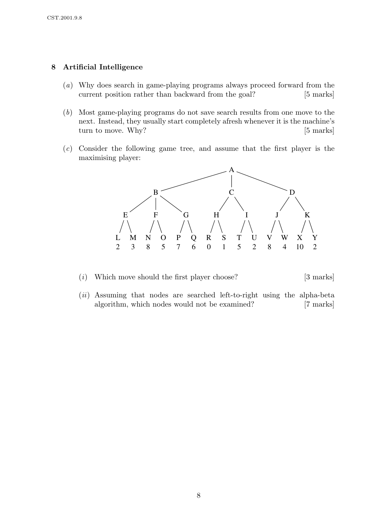### 8 Artificial Intelligence

- (a) Why does search in game-playing programs always proceed forward from the current position rather than backward from the goal? [5 marks]
- (b) Most game-playing programs do not save search results from one move to the next. Instead, they usually start completely afresh whenever it is the machine's turn to move. Why? [5 marks]
- (c) Consider the following game tree, and assume that the first player is the maximising player:



- (i) Which move should the first player choose?  $[3 \text{ marks}]$
- $(ii)$  Assuming that nodes are searched left-to-right using the alpha-beta algorithm, which nodes would not be examined? [7 marks]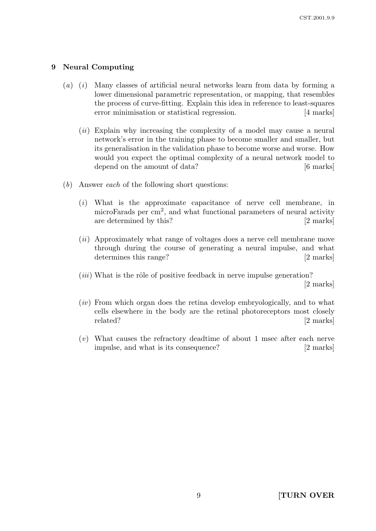#### 9 Neural Computing

- $(a)$  (i) Many classes of artificial neural networks learn from data by forming a lower dimensional parametric representation, or mapping, that resembles the process of curve-fitting. Explain this idea in reference to least-squares error minimisation or statistical regression. [4 marks]
	- (*ii*) Explain why increasing the complexity of a model may cause a neural network's error in the training phase to become smaller and smaller, but its generalisation in the validation phase to become worse and worse. How would you expect the optimal complexity of a neural network model to depend on the amount of data? [6 marks]
- (b) Answer each of the following short questions:
	- (i) What is the approximate capacitance of nerve cell membrane, in microFarads per  $\text{cm}^2$ , and what functional parameters of neural activity are determined by this? [2 marks]
	- (ii) Approximately what range of voltages does a nerve cell membrane move through during the course of generating a neural impulse, and what determines this range? [2 marks]
	- $(iii)$  What is the rôle of positive feedback in nerve impulse generation? [2 marks]
	- (iv) From which organ does the retina develop embryologically, and to what cells elsewhere in the body are the retinal photoreceptors most closely related? [2 marks]
	- (v) What causes the refractory deadtime of about 1 msec after each nerve impulse, and what is its consequence? [2 marks]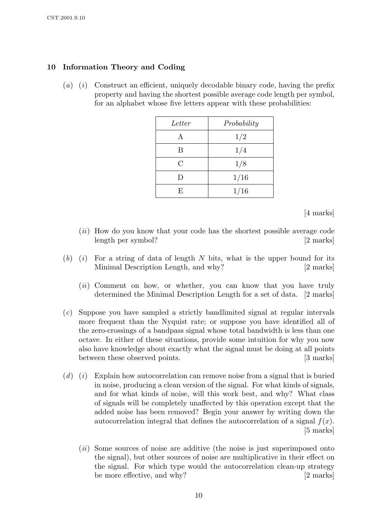### 10 Information Theory and Coding

(a) (i) Construct an efficient, uniquely decodable binary code, having the prefix property and having the shortest possible average code length per symbol, for an alphabet whose five letters appear with these probabilities:

| Letter  | Probability |
|---------|-------------|
| A       | 1/2         |
| B       | 1/4         |
| $\rm C$ | 1/8         |
| $\Box$  | 1/16        |
| F,      | 1/16        |

[4 marks]

- (*ii*) How do you know that your code has the shortest possible average code length per symbol? [2 marks]
- $(b)$  (i) For a string of data of length N bits, what is the upper bound for its Minimal Description Length, and why? [2 marks]
	- (ii) Comment on how, or whether, you can know that you have truly determined the Minimal Description Length for a set of data. [2 marks]
- (c) Suppose you have sampled a strictly bandlimited signal at regular intervals more frequent than the Nyquist rate; or suppose you have identified all of the zero-crossings of a bandpass signal whose total bandwidth is less than one octave. In either of these situations, provide some intuition for why you now also have knowledge about exactly what the signal must be doing at all points between these observed points. [3 marks]
- $(d)$  (i) Explain how autocorrelation can remove noise from a signal that is buried in noise, producing a clean version of the signal. For what kinds of signals, and for what kinds of noise, will this work best, and why? What class of signals will be completely unaffected by this operation except that the added noise has been removed? Begin your answer by writing down the autocorrelation integral that defines the autocorrelation of a signal  $f(x)$ . [5 marks]
	- (*ii*) Some sources of noise are additive (the noise is just superimposed onto the signal), but other sources of noise are multiplicative in their effect on the signal. For which type would the autocorrelation clean-up strategy be more effective, and why? [2 marks]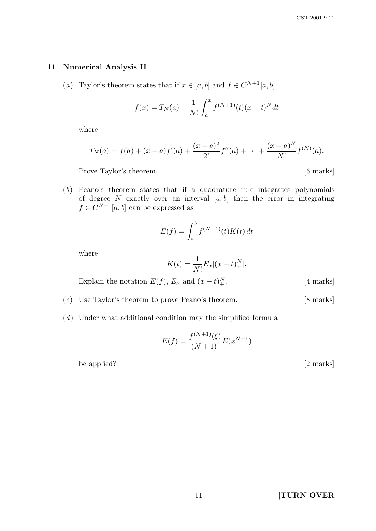#### 11 Numerical Analysis II

(a) Taylor's theorem states that if  $x \in [a, b]$  and  $f \in C^{N+1}[a, b]$ 

$$
f(x) = T_N(a) + \frac{1}{N!} \int_a^x f^{(N+1)}(t) (x - t)^N dt
$$

where

$$
T_N(a) = f(a) + (x - a)f'(a) + \frac{(x - a)^2}{2!}f''(a) + \dots + \frac{(x - a)^N}{N!}f^{(N)}(a).
$$

Prove Taylor's theorem. [6 marks]

(b) Peano's theorem states that if a quadrature rule integrates polynomials of degree N exactly over an interval  $[a, b]$  then the error in integrating  $f \in C^{N+1}[a, b]$  can be expressed as

$$
E(f) = \int_a^b f^{(N+1)}(t)K(t) dt
$$

where

$$
K(t) = \frac{1}{N!} E_x[(x - t)_+^N].
$$

Explain the notation  $E(f)$ ,  $E_x$  and  $(x-t)_+^N$ 

- (c) Use Taylor's theorem to prove Peano's theorem. [8 marks]
- (d) Under what additional condition may the simplified formula

$$
E(f) = \frac{f^{(N+1)}(\xi)}{(N+1)!} E(x^{N+1})
$$

be applied? [2 marks]

 $[4$  marks]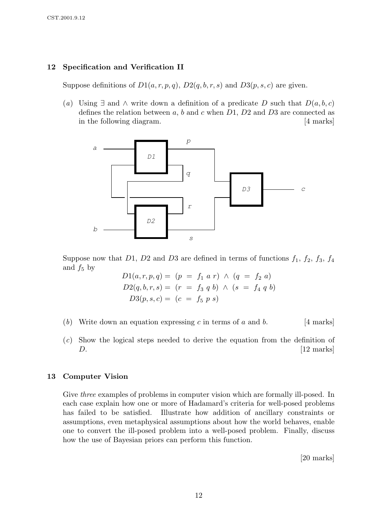### 12 Specification and Verification II

Suppose definitions of  $D1(a, r, p, q)$ ,  $D2(q, b, r, s)$  and  $D3(p, s, c)$  are given.

(a) Using  $\exists$  and  $\wedge$  write down a definition of a predicate D such that  $D(a, b, c)$ defines the relation between  $a, b$  and  $c$  when  $D1, D2$  and  $D3$  are connected as in the following diagram. [4 marks]



Suppose now that D1, D2 and D3 are defined in terms of functions  $f_1$ ,  $f_2$ ,  $f_3$ ,  $f_4$ and  $f_5$  by

 $D1(a, r, p, q) = (p = f_1 a r) \wedge (q = f_2 a)$  $D2(q, b, r, s) = (r = f_3 q b) \land (s = f_4 q b)$  $D3(p, s, c) = (c = f_5 p s)$ 

- (b) Write down an equation expressing c in terms of a and b. [4 marks]
- (c) Show the logical steps needed to derive the equation from the definition of  $D.$  [12 marks]

#### 13 Computer Vision

Give *three* examples of problems in computer vision which are formally ill-posed. In each case explain how one or more of Hadamard's criteria for well-posed problems has failed to be satisfied. Illustrate how addition of ancillary constraints or assumptions, even metaphysical assumptions about how the world behaves, enable one to convert the ill-posed problem into a well-posed problem. Finally, discuss how the use of Bayesian priors can perform this function.

[20 marks]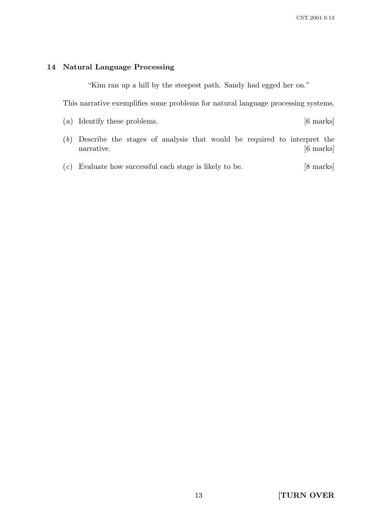#### 14 Natural Language Processing

"Kim ran up a hill by the steepest path. Sandy had egged her on."

This narrative exemplifies some problems for natural language processing systems.

- (a) Identify these problems. [6 marks]
- (b) Describe the stages of analysis that would be required to interpret the narrative. [6 marks]
- (c) Evaluate how successful each stage is likely to be. [8 marks]